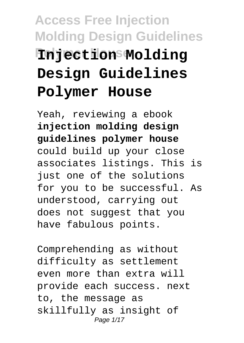# **Access Free Injection Molding Design Guidelines Polymer House Injection Molding Design Guidelines Polymer House**

Yeah, reviewing a ebook **injection molding design guidelines polymer house** could build up your close associates listings. This is just one of the solutions for you to be successful. As understood, carrying out does not suggest that you have fabulous points.

Comprehending as without difficulty as settlement even more than extra will provide each success. next to, the message as skillfully as insight of Page 1/17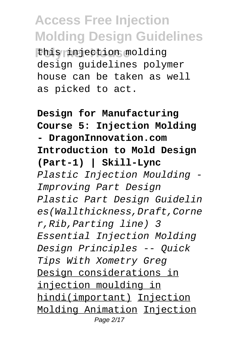this injection molding design guidelines polymer house can be taken as well as picked to act.

**Design for Manufacturing Course 5: Injection Molding - DragonInnovation.com Introduction to Mold Design (Part-1) | Skill-Lync** Plastic Injection Moulding - Improving Part Design Plastic Part Design Guidelin es(Wallthickness,Draft,Corne r,Rib,Parting line) 3 Essential Injection Molding Design Principles -- Quick Tips With Xometry Greg Design considerations in injection moulding in hindi(important) Injection Molding Animation Injection Page 2/17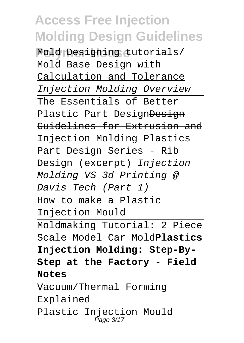**Polymer House** Mold Designing tutorials/ Mold Base Design with Calculation and Tolerance Injection Molding Overview The Essentials of Better Plastic Part DesignDesign Guidelines for Extrusion and Injection Molding Plastics Part Design Series - Rib Design (excerpt) Injection Molding VS 3d Printing @ Davis Tech (Part 1) How to make a Plastic Injection Mould Moldmaking Tutorial: 2 Piece Scale Model Car Mold**Plastics Injection Molding: Step-By-Step at the Factory - Field Notes**

Vacuum/Thermal Forming Explained Plastic Injection Mould Page 3/17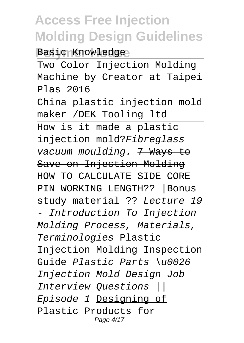**Basic Knowledge** 

Two Color Injection Molding Machine by Creator at Taipei Plas 2016

China plastic injection mold maker /DEK Tooling ltd How is it made a plastic injection mold?Fibreglass vacuum moulding. 7 Ways to Save on Injection Molding HOW TO CALCULATE SIDE CORE PIN WORKING LENGTH?? |Bonus study material ?? Lecture 19 - Introduction To Injection Molding Process, Materials, Terminologies Plastic Injection Molding Inspection Guide Plastic Parts \u0026 Injection Mold Design Job Interview Questions || Episode 1 Designing of Plastic Products for Page 4/17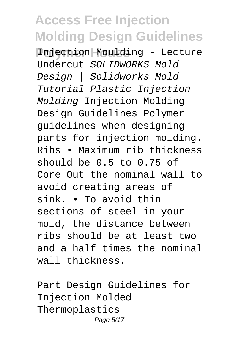**Polymer House** Injection Moulding - Lecture Undercut SOLIDWORKS Mold Design | Solidworks Mold Tutorial Plastic Injection Molding Injection Molding Design Guidelines Polymer guidelines when designing parts for injection molding. Ribs • Maximum rib thickness should be 0.5 to 0.75 of Core Out the nominal wall to avoid creating areas of sink. • To avoid thin sections of steel in your mold, the distance between ribs should be at least two and a half times the nominal wall thickness.

Part Design Guidelines for Injection Molded Thermoplastics Page 5/17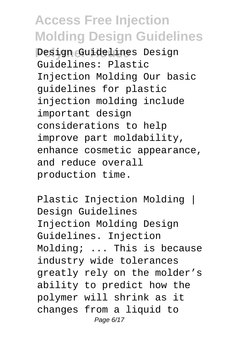**Polymer House** Design Guidelines Design Guidelines: Plastic Injection Molding Our basic guidelines for plastic injection molding include important design considerations to help improve part moldability, enhance cosmetic appearance, and reduce overall production time.

Plastic Injection Molding | Design Guidelines Injection Molding Design Guidelines. Injection Molding; ... This is because industry wide tolerances greatly rely on the molder's ability to predict how the polymer will shrink as it changes from a liquid to Page 6/17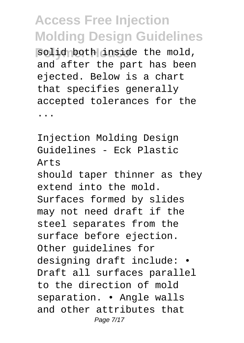**Bolid both inside the mold,** and after the part has been ejected. Below is a chart that specifies generally accepted tolerances for the

...

Injection Molding Design Guidelines - Eck Plastic Arts

should taper thinner as they extend into the mold. Surfaces formed by slides may not need draft if the steel separates from the surface before ejection. Other guidelines for designing draft include: • Draft all surfaces parallel to the direction of mold separation. • Angle walls and other attributes that Page 7/17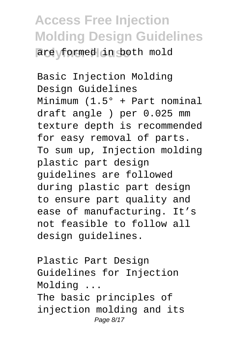#### **Access Free Injection Molding Design Guidelines** are formed in both mold

Basic Injection Molding Design Guidelines Minimum (1.5° + Part nominal draft angle ) per 0.025 mm texture depth is recommended for easy removal of parts. To sum up, Injection molding plastic part design guidelines are followed during plastic part design to ensure part quality and ease of manufacturing. It's not feasible to follow all design guidelines.

Plastic Part Design Guidelines for Injection Molding ... The basic principles of injection molding and its Page 8/17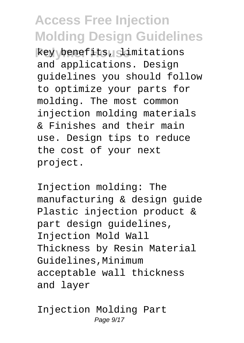**Polymer House** key benefits, limitations and applications. Design guidelines you should follow to optimize your parts for molding. The most common injection molding materials & Finishes and their main use. Design tips to reduce the cost of your next project.

Injection molding: The manufacturing & design guide Plastic injection product & part design guidelines, Injection Mold Wall Thickness by Resin Material Guidelines,Minimum acceptable wall thickness and layer

Injection Molding Part Page  $9/17$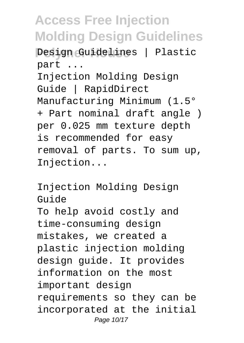**Pesign Guidelines** | Plastic part ...

Injection Molding Design Guide | RapidDirect Manufacturing Minimum (1.5° + Part nominal draft angle ) per 0.025 mm texture depth is recommended for easy removal of parts. To sum up, Injection...

Injection Molding Design Guide To help avoid costly and time-consuming design mistakes, we created a plastic injection molding design guide. It provides information on the most important design requirements so they can be incorporated at the initial Page 10/17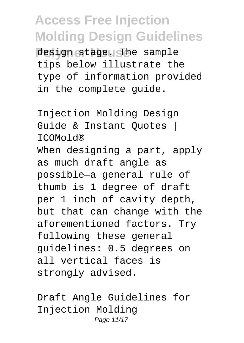design stage. The sample tips below illustrate the type of information provided in the complete guide.

Injection Molding Design Guide & Instant Quotes | ICOMold® When designing a part, apply as much draft angle as possible—a general rule of thumb is 1 degree of draft per 1 inch of cavity depth, but that can change with the aforementioned factors. Try following these general guidelines: 0.5 degrees on all vertical faces is strongly advised.

Draft Angle Guidelines for Injection Molding Page 11/17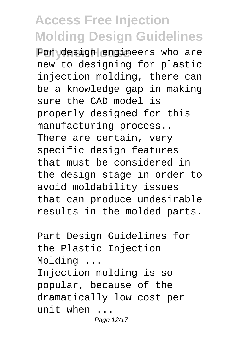For design engineers who are new to designing for plastic injection molding, there can be a knowledge gap in making sure the CAD model is properly designed for this manufacturing process.. There are certain, very specific design features that must be considered in the design stage in order to avoid moldability issues that can produce undesirable results in the molded parts.

Part Design Guidelines for the Plastic Injection Molding ... Injection molding is so popular, because of the dramatically low cost per unit when ... Page 12/17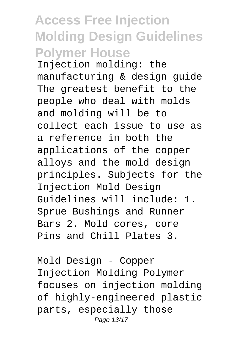#### **Access Free Injection Molding Design Guidelines Polymer House**

Injection molding: the manufacturing & design guide The greatest benefit to the people who deal with molds and molding will be to collect each issue to use as a reference in both the applications of the copper alloys and the mold design principles. Subjects for the Injection Mold Design Guidelines will include: 1. Sprue Bushings and Runner Bars 2. Mold cores, core Pins and Chill Plates 3.

Mold Design - Copper Injection Molding Polymer focuses on injection molding of highly-engineered plastic parts, especially those Page 13/17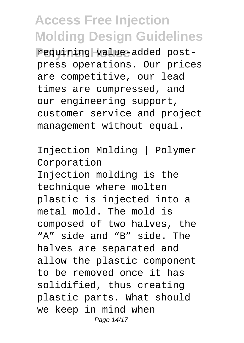requiring value-added postpress operations. Our prices are competitive, our lead times are compressed, and our engineering support, customer service and project management without equal.

Injection Molding | Polymer Corporation Injection molding is the technique where molten plastic is injected into a metal mold. The mold is composed of two halves, the "A" side and "B" side. The halves are separated and allow the plastic component to be removed once it has solidified, thus creating plastic parts. What should we keep in mind when Page 14/17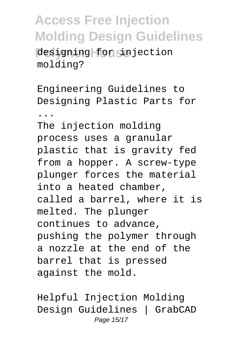designing for injection molding?

Engineering Guidelines to Designing Plastic Parts for

... The injection molding process uses a granular plastic that is gravity fed from a hopper. A screw-type plunger forces the material into a heated chamber, called a barrel, where it is melted. The plunger continues to advance, pushing the polymer through a nozzle at the end of the barrel that is pressed against the mold.

Helpful Injection Molding Design Guidelines | GrabCAD Page 15/17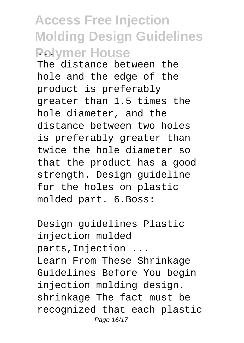#### **Access Free Injection Molding Design Guidelines Polymer House**

The distance between the hole and the edge of the product is preferably greater than 1.5 times the hole diameter, and the distance between two holes is preferably greater than twice the hole diameter so that the product has a good strength. Design guideline for the holes on plastic molded part. 6.Boss:

Design guidelines Plastic injection molded parts,Injection ... Learn From These Shrinkage Guidelines Before You begin injection molding design. shrinkage The fact must be recognized that each plastic Page 16/17